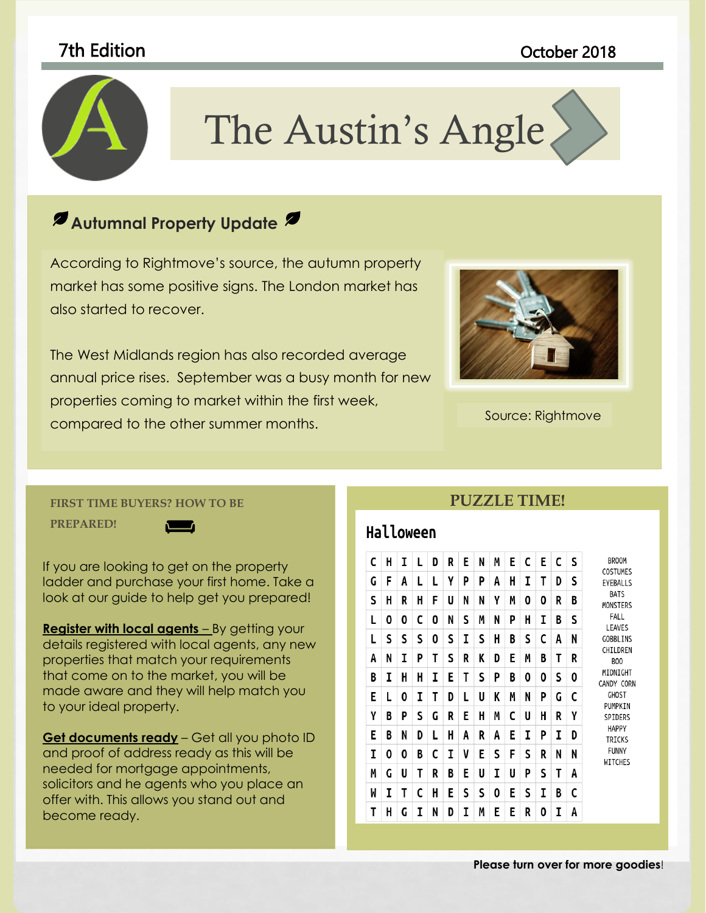

# The Austin's Angle

to coordinate with the overall look of your document. You can use

## **these galleries to insert the insert of the cover pages, insert pages, cover pages, cover pages, cover pages, cover pages, and cover pages, and cover pages, and cover pages, and cover pages, and cover pages, and cover pag**

According to Rightmove's source, the autumn property market has some positive signs. The London market has  $\blacksquare$ are designed to coordinate with the overall look of your also started to recover.

The West Midlands region has also recorded average annual price rises. September was a busy month for new properties coming to market within the first week, compared to the other summer months.



Source: Rightmove

#### **FIRST TIME BUYERS? HOW TO BE**

**PREPARED!** 



If you are looking to get on the property ladder and purchase your first home. Take a look at our guide to help get you prepared!

**Register with local agents** – By getting your details registered with local agents, any new properties that match your requirements that come on to the market, you will be made aware and they will help match you to your ideal property.

**Get documents ready** – Get all you photo ID and proof of address ready as this will be needed for mortgage appointments, solicitors and he agents who you place an offer with. This allows you stand out and become ready.

#### **PUZZLE TIME!**

### Halloween

| C | H | I | L | D | R | E | N | M | E | C | E | C | S | <b>BROOM</b><br>COSTUMES<br>EYEBALLS<br><b>BATS</b><br><b>MONSTERS</b><br>FALL<br>LEAVES<br><b>GOBBLINS</b><br>CHILDREN<br><b>BOO</b><br>MIDNIGHT<br>CANDY CORN<br><b>GHOST</b><br>PUMPKIN<br>SPIDERS<br><b>HAPPY</b><br>TRICKS<br><b>FUNNY</b><br>WITCHES |
|---|---|---|---|---|---|---|---|---|---|---|---|---|---|------------------------------------------------------------------------------------------------------------------------------------------------------------------------------------------------------------------------------------------------------------|
| G | F | A | L | L | Y | P | P | A | H | I | T | D | S |                                                                                                                                                                                                                                                            |
| S | H | R | H | F | U | N | N | γ | М | 0 | 0 | R | B |                                                                                                                                                                                                                                                            |
| L | 0 | 0 | C | 0 | N | S | M | N | P | н | I | B | S |                                                                                                                                                                                                                                                            |
| L | S | S | S | 0 | S | I | S | H | B | S | C | A | N |                                                                                                                                                                                                                                                            |
| A | N | I | P | T | S | R | K | D | E | Μ | B | T | R |                                                                                                                                                                                                                                                            |
| B | I | H | H | I | E | T | S | P | B | 0 | 0 | S | 0 |                                                                                                                                                                                                                                                            |
| E | L | 0 | I | T | D | L | U | K | M | N | P | G | c |                                                                                                                                                                                                                                                            |
| γ | B | Ρ | S | G | R | E | H | M | C | U | H | R | γ |                                                                                                                                                                                                                                                            |
| Е | B | N | D | L | H | A | R | A | E | I | P | I | D |                                                                                                                                                                                                                                                            |
| I | 0 | 0 | В | C | I | V | E | S | F | S | R | N | N |                                                                                                                                                                                                                                                            |
| М | G | U | Т | R | B | E | U | I | U | P | S | T | A |                                                                                                                                                                                                                                                            |
| W | I | T | C | H | E | S | S | 0 | E | S | I | B | c |                                                                                                                                                                                                                                                            |
| Т | H | G | I | N | D | I | M | E | E | R | 0 | I | A |                                                                                                                                                                                                                                                            |